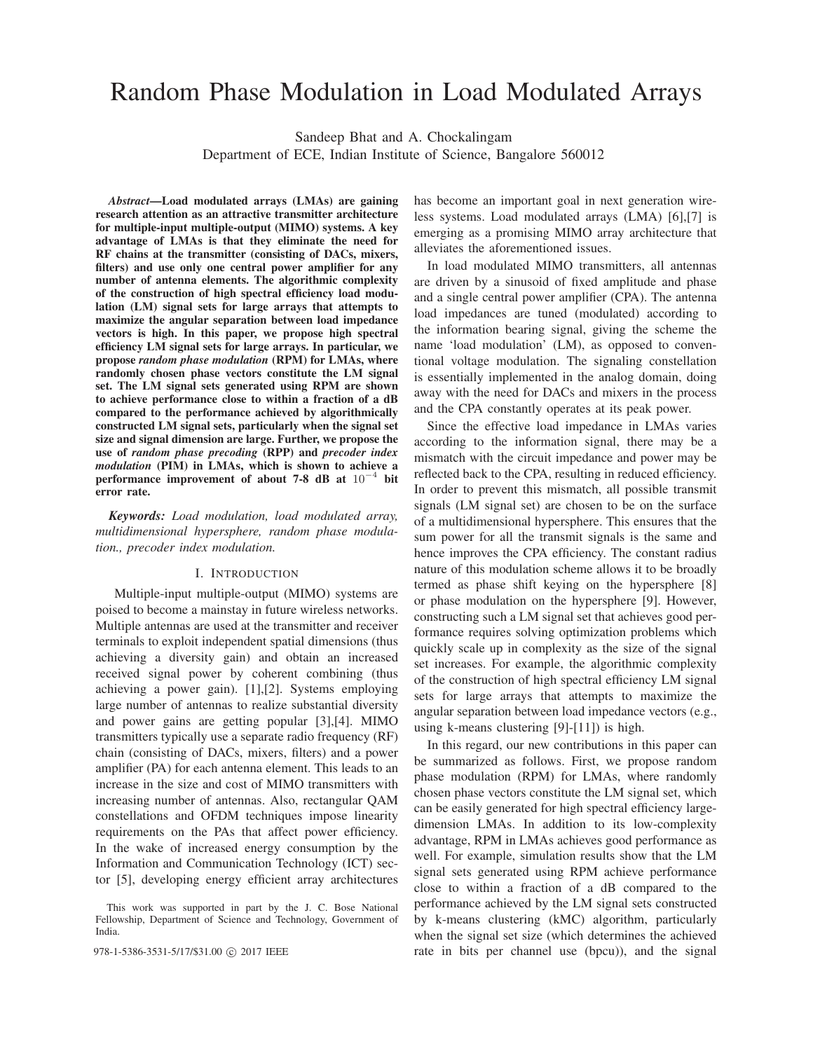# Random Phase Modulation in Load Modulated Arrays

Sandeep Bhat and A. Chockalingam

Department of ECE, Indian Institute of Science, Bangalore 560012

*Abstract***—Load modulated arrays (LMAs) are gaining research attention as an attractive transmitter architecture for multiple-input multiple-output (MIMO) systems. A key advantage of LMAs is that they eliminate the need for RF chains at the transmitter (consisting of DACs, mixers, filters) and use only one central power amplifier for any number of antenna elements. The algorithmic complexity of the construction of high spectral efficiency load modulation (LM) signal sets for large arrays that attempts to maximize the angular separation between load impedance vectors is high. In this paper, we propose high spectral efficiency LM signal sets for large arrays. In particular, we propose** *random phase modulation* **(RPM) for LMAs, where randomly chosen phase vectors constitute the LM signal set. The LM signal sets generated using RPM are shown to achieve performance close to within a fraction of a dB compared to the performance achieved by algorithmically constructed LM signal sets, particularly when the signal set size and signal dimension are large. Further, we propose the use of** *random phase precoding* **(RPP) and** *precoder index modulation* **(PIM) in LMAs, which is shown to achieve a performance improvement of about 7-8 dB at** 10−<sup>4</sup> **bit error rate.**

*Keywords: Load modulation, load modulated array, multidimensional hypersphere, random phase modulation., precoder index modulation.*

# I. INTRODUCTION

Multiple-input multiple-output (MIMO) systems are poised to become a mainstay in future wireless networks. Multiple antennas are used at the transmitter and receiver terminals to exploit independent spatial dimensions (thus achieving a diversity gain) and obtain an increased received signal power by coherent combining (thus achieving a power gain). [1],[2]. Systems employing large number of antennas to realize substantial diversity and power gains are getting popular [3],[4]. MIMO transmitters typically use a separate radio frequency (RF) chain (consisting of DACs, mixers, filters) and a power amplifier (PA) for each antenna element. This leads to an increase in the size and cost of MIMO transmitters with increasing number of antennas. Also, rectangular QAM constellations and OFDM techniques impose linearity requirements on the PAs that affect power efficiency. In the wake of increased energy consumption by the Information and Communication Technology (ICT) sector [5], developing energy efficient array architectures

has become an important goal in next generation wireless systems. Load modulated arrays (LMA) [6],[7] is emerging as a promising MIMO array architecture that alleviates the aforementioned issues.

In load modulated MIMO transmitters, all antennas are driven by a sinusoid of fixed amplitude and phase and a single central power amplifier (CPA). The antenna load impedances are tuned (modulated) according to the information bearing signal, giving the scheme the name 'load modulation' (LM), as opposed to conventional voltage modulation. The signaling constellation is essentially implemented in the analog domain, doing away with the need for DACs and mixers in the process and the CPA constantly operates at its peak power.

Since the effective load impedance in LMAs varies according to the information signal, there may be a mismatch with the circuit impedance and power may be reflected back to the CPA, resulting in reduced efficiency. In order to prevent this mismatch, all possible transmit signals (LM signal set) are chosen to be on the surface of a multidimensional hypersphere. This ensures that the sum power for all the transmit signals is the same and hence improves the CPA efficiency. The constant radius nature of this modulation scheme allows it to be broadly termed as phase shift keying on the hypersphere [8] or phase modulation on the hypersphere [9]. However, constructing such a LM signal set that achieves good performance requires solving optimization problems which quickly scale up in complexity as the size of the signal set increases. For example, the algorithmic complexity of the construction of high spectral efficiency LM signal sets for large arrays that attempts to maximize the angular separation between load impedance vectors (e.g., using k-means clustering [9]-[11]) is high.

In this regard, our new contributions in this paper can be summarized as follows. First, we propose random phase modulation (RPM) for LMAs, where randomly chosen phase vectors constitute the LM signal set, which can be easily generated for high spectral efficiency largedimension LMAs. In addition to its low-complexity advantage, RPM in LMAs achieves good performance as well. For example, simulation results show that the LM signal sets generated using RPM achieve performance close to within a fraction of a dB compared to the performance achieved by the LM signal sets constructed by k-means clustering (kMC) algorithm, particularly when the signal set size (which determines the achieved 978-1-5386-3531-5/17/\$31.00 ⓒ 2017 IEEE rate in bits per channel use (bpcu)), and the signal

This work was supported in part by the J. C. Bose National Fellowship, Department of Science and Technology, Government of India.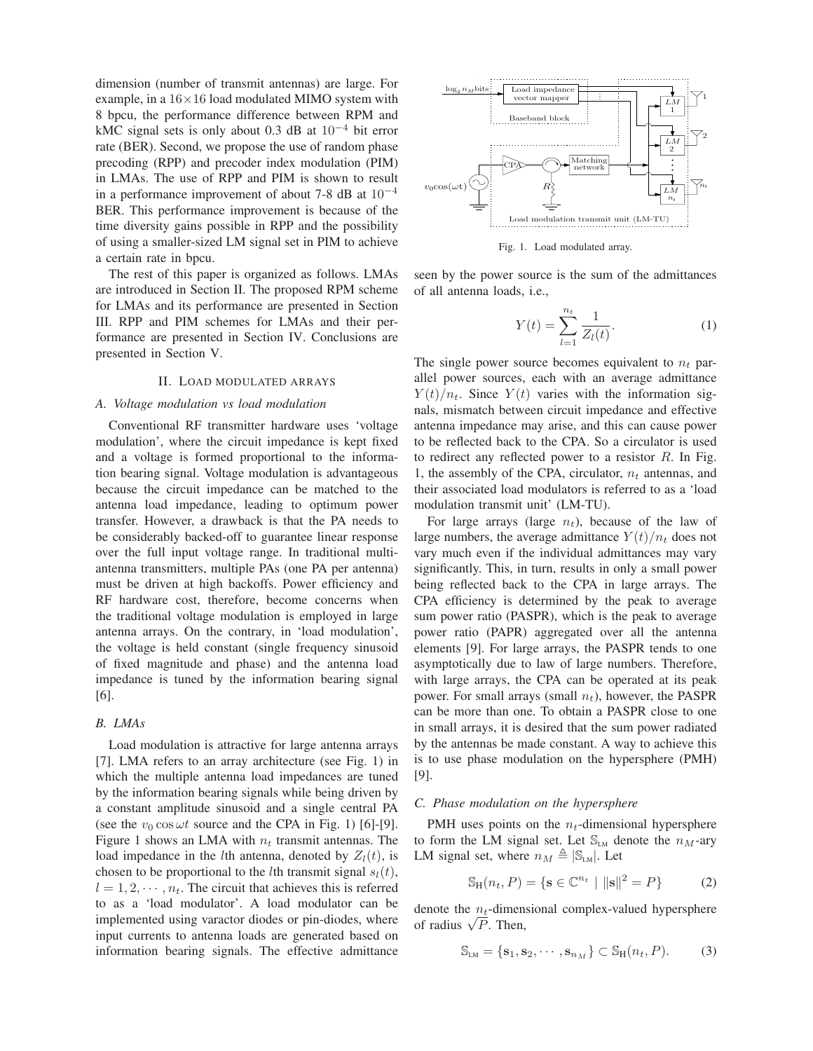dimension (number of transmit antennas) are large. For example, in a  $16\times16$  load modulated MIMO system with 8 bpcu, the performance difference between RPM and kMC signal sets is only about 0.3 dB at  $10^{-4}$  bit error rate (BER). Second, we propose the use of random phase precoding (RPP) and precoder index modulation (PIM) in LMAs. The use of RPP and PIM is shown to result in a performance improvement of about 7-8 dB at  $10^{-4}$ BER. This performance improvement is because of the time diversity gains possible in RPP and the possibility of using a smaller-sized LM signal set in PIM to achieve a certain rate in bpcu.

The rest of this paper is organized as follows. LMAs are introduced in Section II. The proposed RPM scheme for LMAs and its performance are presented in Section III. RPP and PIM schemes for LMAs and their performance are presented in Section IV. Conclusions are presented in Section V.

#### II. LOAD MODULATED ARRAYS

# *A. Voltage modulation vs load modulation*

Conventional RF transmitter hardware uses 'voltage modulation', where the circuit impedance is kept fixed and a voltage is formed proportional to the information bearing signal. Voltage modulation is advantageous because the circuit impedance can be matched to the antenna load impedance, leading to optimum power transfer. However, a drawback is that the PA needs to be considerably backed-off to guarantee linear response over the full input voltage range. In traditional multiantenna transmitters, multiple PAs (one PA per antenna) must be driven at high backoffs. Power efficiency and RF hardware cost, therefore, become concerns when the traditional voltage modulation is employed in large antenna arrays. On the contrary, in 'load modulation', the voltage is held constant (single frequency sinusoid of fixed magnitude and phase) and the antenna load impedance is tuned by the information bearing signal [6].

# *B. LMAs*

Load modulation is attractive for large antenna arrays [7]. LMA refers to an array architecture (see Fig. 1) in which the multiple antenna load impedances are tuned by the information bearing signals while being driven by a constant amplitude sinusoid and a single central PA (see the  $v_0 \cos \omega t$  source and the CPA in Fig. 1) [6]-[9]. Figure 1 shows an LMA with  $n_t$  transmit antennas. The load impedance in the *l*th antenna, denoted by  $Z_l(t)$ , is chosen to be proportional to the *l*th transmit signal  $s<sub>l</sub>(t)$ ,  $l = 1, 2, \dots, n_t$ . The circuit that achieves this is referred to as a 'load modulator'. A load modulator can be implemented using varactor diodes or pin-diodes, where input currents to antenna loads are generated based on information bearing signals. The effective admittance



Fig. 1. Load modulated array.

seen by the power source is the sum of the admittances of all antenna loads, i.e.,

$$
Y(t) = \sum_{l=1}^{n_t} \frac{1}{Z_l(t)}.
$$
 (1)

The single power source becomes equivalent to  $n_t$  parallel power sources, each with an average admittance  $Y(t)/n_t$ . Since  $Y(t)$  varies with the information signals, mismatch between circuit impedance and effective antenna impedance may arise, and this can cause power to be reflected back to the CPA. So a circulator is used to redirect any reflected power to a resistor  $R$ . In Fig. 1, the assembly of the CPA, circulator,  $n_t$  antennas, and their associated load modulators is referred to as a 'load modulation transmit unit' (LM-TU).

For large arrays (large  $n_t$ ), because of the law of large numbers, the average admittance  $Y(t)/n_t$  does not vary much even if the individual admittances may vary significantly. This, in turn, results in only a small power being reflected back to the CPA in large arrays. The CPA efficiency is determined by the peak to average sum power ratio (PASPR), which is the peak to average power ratio (PAPR) aggregated over all the antenna elements [9]. For large arrays, the PASPR tends to one asymptotically due to law of large numbers. Therefore, with large arrays, the CPA can be operated at its peak power. For small arrays (small  $n_t$ ), however, the PASPR can be more than one. To obtain a PASPR close to one in small arrays, it is desired that the sum power radiated by the antennas be made constant. A way to achieve this is to use phase modulation on the hypersphere (PMH) [9].

# *C. Phase modulation on the hypersphere*

PMH uses points on the  $n_t$ -dimensional hypersphere to form the LM signal set. Let  $\mathbb{S}_{LM}$  denote the  $n_M$ -ary LM signal set, where  $n_M \triangleq |\mathbb{S}_{LM}|$ . Let

$$
S_H(n_t, P) = \{ \mathbf{s} \in \mathbb{C}^{n_t} \mid ||\mathbf{s}||^2 = P \}
$$
 (2)

denote the  $n_t$ -dimensional complex-valued hypersphere denote the  $n_t$ -dimen<br>of radius  $\sqrt{P}$ . Then,

$$
\mathbb{S}_{LM} = \{\mathbf{s}_1, \mathbf{s}_2, \cdots, \mathbf{s}_{n_M}\} \subset \mathbb{S}_{H}(n_t, P). \tag{3}
$$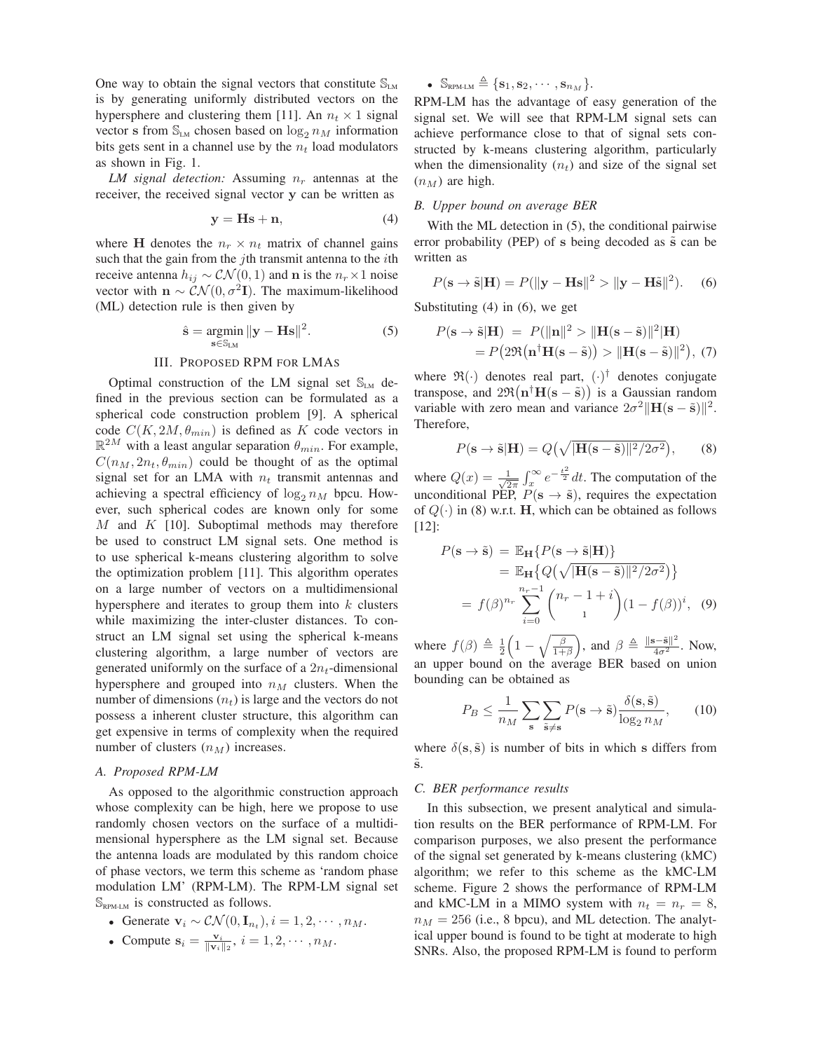One way to obtain the signal vectors that constitute  $\mathbb{S}_{\text{LM}}$ is by generating uniformly distributed vectors on the hypersphere and clustering them [11]. An  $n_t \times 1$  signal vector **s** from  $\mathbb{S}_{LM}$  chosen based on  $\log_2 n_M$  information bits gets sent in a channel use by the  $n_t$  load modulators as shown in Fig. 1.

*LM signal detection:* Assuming  $n_r$  antennas at the receiver, the received signal vector **y** can be written as

$$
y = Hs + n,\t(4)
$$

where **H** denotes the  $n_r \times n_t$  matrix of channel gains such that the gain from the *j*th transmit antenna to the *i*th receive antenna  $h_{ij} \sim \mathcal{CN}(0, 1)$  and **n** is the  $n_r \times 1$  noise vector with  $\mathbf{n} \sim \mathcal{CN}(0, \sigma^2 \mathbf{I})$ . The maximum-likelihood (ML) detection rule is then given by

$$
\hat{\mathbf{s}} = \underset{\mathbf{s} \in \mathbb{S}_{LM}}{\operatorname{argmin}} \|\mathbf{y} - \mathbf{H}\mathbf{s}\|^2. \tag{5}
$$

# III. PROPOSED RPM FOR LMAS

Optimal construction of the LM signal set  $\mathbb{S}_{LM}$  defined in the previous section can be formulated as a spherical code construction problem [9]. A spherical code  $C(K, 2M, \theta_{min})$  is defined as K code vectors in  $\mathbb{R}^{2M}$  with a least angular separation  $\theta_{min}$ . For example,  $C(n_M, 2n_t, \theta_{min})$  could be thought of as the optimal signal set for an LMA with  $n_t$  transmit antennas and achieving a spectral efficiency of  $\log_2 n_M$  bpcu. However, such spherical codes are known only for some  $M$  and  $K$  [10]. Suboptimal methods may therefore be used to construct LM signal sets. One method is to use spherical k-means clustering algorithm to solve the optimization problem [11]. This algorithm operates on a large number of vectors on a multidimensional hypersphere and iterates to group them into  $k$  clusters while maximizing the inter-cluster distances. To construct an LM signal set using the spherical k-means clustering algorithm, a large number of vectors are generated uniformly on the surface of a  $2n_t$ -dimensional hypersphere and grouped into  $n<sub>M</sub>$  clusters. When the number of dimensions  $(n_t)$  is large and the vectors do not possess a inherent cluster structure, this algorithm can get expensive in terms of complexity when the required number of clusters  $(n_M)$  increases.

### *A. Proposed RPM-LM*

As opposed to the algorithmic construction approach whose complexity can be high, here we propose to use randomly chosen vectors on the surface of a multidimensional hypersphere as the LM signal set. Because the antenna loads are modulated by this random choice of phase vectors, we term this scheme as 'random phase modulation LM' (RPM-LM). The RPM-LM signal set  $\mathbb{S}_{\text{RPM-LM}}$  is constructed as follows.

• Generate  $\mathbf{v}_i \sim \mathcal{CN}(0, \mathbf{I}_{n_t}), i = 1, 2, \cdots, n_M.$ 

• Compute 
$$
\mathbf{s}_i = \frac{\mathbf{v}_i}{\|\mathbf{v}_i\|_2}
$$
,  $i = 1, 2, \cdots, n_M$ .

•  $\mathbb{S}_{\text{RPM-LM}} \triangleq \{\mathbf{s}_1, \mathbf{s}_2, \cdots, \mathbf{s}_{n_M}\}.$ 

RPM-LM has the advantage of easy generation of the signal set. We will see that RPM-LM signal sets can achieve performance close to that of signal sets constructed by k-means clustering algorithm, particularly when the dimensionality  $(n_t)$  and size of the signal set  $(n_M)$  are high.

# *B. Upper bound on average BER*

With the ML detection in (5), the conditional pairwise error probability (PEP) of s being decoded as  $\tilde{s}$  can be written as

$$
P(\mathbf{s} \to \tilde{\mathbf{s}}|\mathbf{H}) = P(||\mathbf{y} - \mathbf{H}\mathbf{s}||^2 > ||\mathbf{y} - \mathbf{H}\tilde{\mathbf{s}}||^2). \quad (6)
$$

Substituting (4) in (6), we get

$$
P(\mathbf{s} \to \tilde{\mathbf{s}}|\mathbf{H}) = P(||\mathbf{n}||^2 > ||\mathbf{H}(\mathbf{s} - \tilde{\mathbf{s}})||^2 |\mathbf{H})
$$
  
=  $P(2\Re(\mathbf{n}^\dagger \mathbf{H}(\mathbf{s} - \tilde{\mathbf{s}})) > ||\mathbf{H}(\mathbf{s} - \tilde{\mathbf{s}})||^2), (7)$ 

where  $\mathfrak{R}(\cdot)$  denotes real part,  $(\cdot)^\dagger$  denotes conjugate transpose, and  $2\Re(\mathbf{n}^\dagger \mathbf{H}(\mathbf{s} - \tilde{\mathbf{s}}))$  is a Gaussian random variable with zero mean and variance  $2\sigma^2 ||\mathbf{H}(\mathbf{s} - \tilde{\mathbf{s}})||^2$ . Therefore,

$$
P(\mathbf{s} \to \tilde{\mathbf{s}}|\mathbf{H}) = Q\left(\sqrt{|\mathbf{H}(\mathbf{s} - \tilde{\mathbf{s}})||^2/2\sigma^2}\right),\qquad(8)
$$

where  $Q(x) = \frac{1}{\sqrt{2}}$  $\frac{1}{2\pi} \int_{x_1}^{\infty} e^{-\frac{t^2}{2}} dt$ . The computation of the unconditional PEP,  $P(s \rightarrow \tilde{s})$ , requires the expectation of  $Q(\cdot)$  in (8) w.r.t. **H**, which can be obtained as follows [12]:

$$
P(\mathbf{s} \to \tilde{\mathbf{s}}) = \mathbb{E}_{\mathbf{H}} \{ P(\mathbf{s} \to \tilde{\mathbf{s}} | \mathbf{H}) \}
$$
  
=  $\mathbb{E}_{\mathbf{H}} \{ Q(\sqrt{|\mathbf{H}(\mathbf{s} - \tilde{\mathbf{s}})||^2 / 2\sigma^2}) \}$   
=  $f(\beta)^{n_r} \sum_{i=0}^{n_r-1} {n_r - 1 + i \choose 1} (1 - f(\beta))^i$ , (9)

where  $f(\beta) \triangleq \frac{1}{2} \left(1 - \sqrt{\frac{\beta}{1+\beta}}\right)$ , and  $\beta \triangleq \frac{\|\mathbf{s}-\tilde{\mathbf{s}}\|^2}{4\sigma^2}$ . Now, an upper bound on the average BER based on union bounding can be obtained as

$$
P_B \le \frac{1}{n_M} \sum_{\mathbf{s}} \sum_{\tilde{\mathbf{s}} \neq \mathbf{s}} P(\mathbf{s} \to \tilde{\mathbf{s}}) \frac{\delta(\mathbf{s}, \tilde{\mathbf{s}})}{\log_2 n_M},\qquad(10)
$$

where  $\delta(\mathbf{s}, \tilde{\mathbf{s}})$  is number of bits in which **s** differs from ˜**s**.

### *C. BER performance results*

In this subsection, we present analytical and simulation results on the BER performance of RPM-LM. For comparison purposes, we also present the performance of the signal set generated by k-means clustering (kMC) algorithm; we refer to this scheme as the kMC-LM scheme. Figure 2 shows the performance of RPM-LM and kMC-LM in a MIMO system with  $n_t = n_r = 8$ ,  $n_M = 256$  (i.e., 8 bpcu), and ML detection. The analytical upper bound is found to be tight at moderate to high SNRs. Also, the proposed RPM-LM is found to perform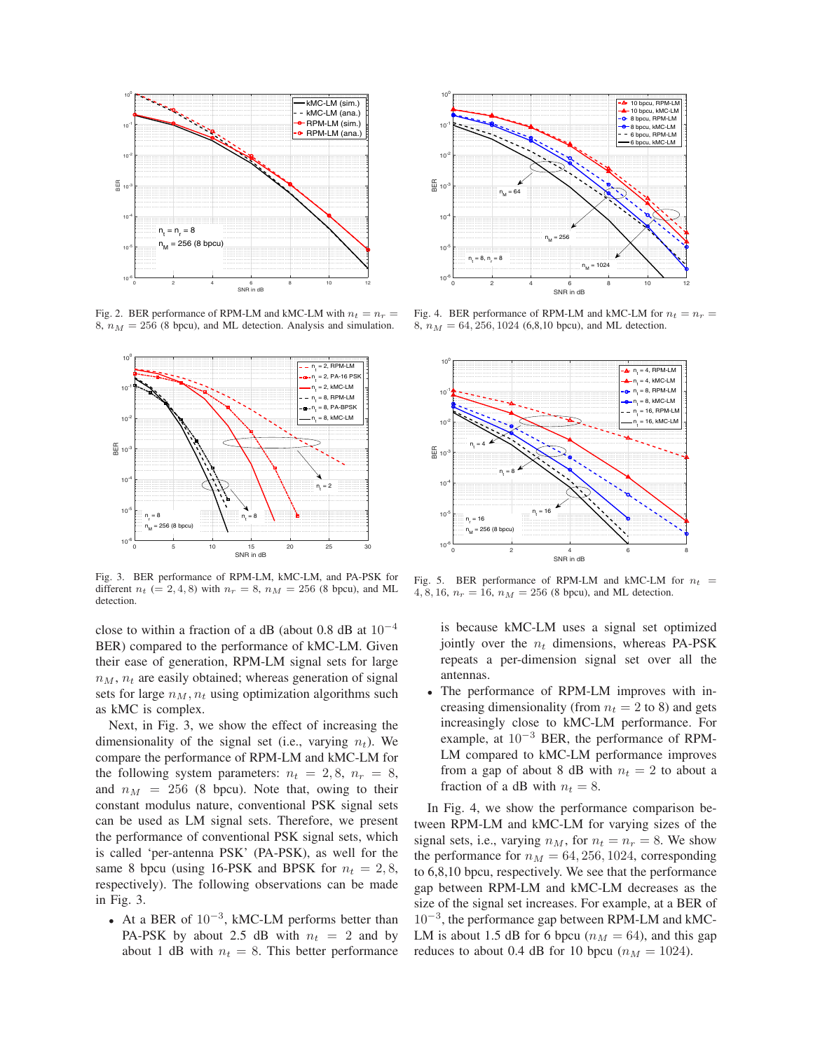

Fig. 2. BER performance of RPM-LM and kMC-LM with  $n_t = n_r$ 8,  $n_M = 256$  (8 bpcu), and ML detection. Analysis and simulation.



Fig. 3. BER performance of RPM-LM, kMC-LM, and PA-PSK for different  $n_t$  (= 2, 4, 8) with  $n_r = 8$ ,  $n_M = 256$  (8 bpcu), and ML detection.

close to within a fraction of a dB (about 0.8 dB at  $10^{-4}$ ) BER) compared to the performance of kMC-LM. Given their ease of generation, RPM-LM signal sets for large  $n_M$ ,  $n_t$  are easily obtained; whereas generation of signal sets for large  $n_M$ ,  $n_t$  using optimization algorithms such as kMC is complex.

Next, in Fig. 3, we show the effect of increasing the dimensionality of the signal set (i.e., varying  $n_t$ ). We compare the performance of RPM-LM and kMC-LM for the following system parameters:  $n_t = 2, 8, n_r = 8$ , and  $n_M = 256$  (8 bpcu). Note that, owing to their constant modulus nature, conventional PSK signal sets can be used as LM signal sets. Therefore, we present the performance of conventional PSK signal sets, which is called 'per-antenna PSK' (PA-PSK), as well for the same 8 bpcu (using 16-PSK and BPSK for  $n_t = 2, 8$ , respectively). The following observations can be made in Fig. 3.

<sup>∙</sup> At a BER of 10−<sup>3</sup>, kMC-LM performs better than PA-PSK by about 2.5 dB with  $n_t = 2$  and by about 1 dB with  $n_t = 8$ . This better performance



Fig. 4. BER performance of RPM-LM and kMC-LM for  $n_t = n_r$ 8,  $n_M = 64, 256, 1024$  (6,8,10 bpcu), and ML detection.



Fig. 5. BER performance of RPM-LM and kMC-LM for  $n_t$  = 4, 8, 16,  $n_r = 16$ ,  $n_M = 256$  (8 bpcu), and ML detection.

is because kMC-LM uses a signal set optimized jointly over the  $n_t$  dimensions, whereas PA-PSK repeats a per-dimension signal set over all the antennas.

<sup>∙</sup> The performance of RPM-LM improves with increasing dimensionality (from  $n_t = 2$  to 8) and gets increasingly close to kMC-LM performance. For example, at 10−<sup>3</sup> BER, the performance of RPM-LM compared to kMC-LM performance improves from a gap of about 8 dB with  $n_t = 2$  to about a fraction of a dB with  $n_t = 8$ .

In Fig. 4, we show the performance comparison between RPM-LM and kMC-LM for varying sizes of the signal sets, i.e., varying  $n_M$ , for  $n_t = n_r = 8$ . We show the performance for  $n_M = 64, 256, 1024$ , corresponding to 6,8,10 bpcu, respectively. We see that the performance gap between RPM-LM and kMC-LM decreases as the size of the signal set increases. For example, at a BER of 10−<sup>3</sup>, the performance gap between RPM-LM and kMC-LM is about 1.5 dB for 6 bpcu ( $n_M = 64$ ), and this gap reduces to about 0.4 dB for 10 bpcu ( $n_M = 1024$ ).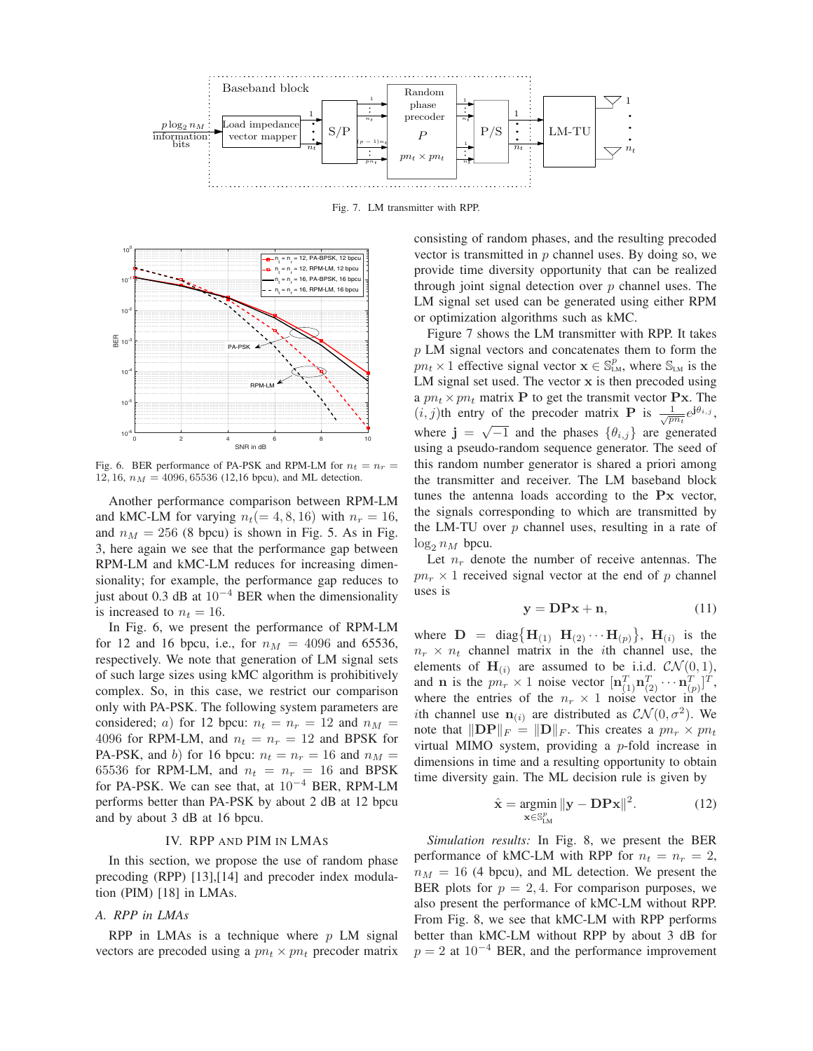

Fig. 7. LM transmitter with RPP.



Fig. 6. BER performance of PA-PSK and RPM-LM for  $n_t = n_r =$ 12, 16,  $n_M = 4096, 65536$  (12,16 bpcu), and ML detection.

Another performance comparison between RPM-LM and kMC-LM for varying  $n_t (= 4, 8, 16)$  with  $n_r = 16$ , and  $n_M = 256$  (8 bpcu) is shown in Fig. 5. As in Fig. 3, here again we see that the performance gap between RPM-LM and kMC-LM reduces for increasing dimensionality; for example, the performance gap reduces to just about 0.3 dB at  $10^{-4}$  BER when the dimensionality is increased to  $n_t = 16$ .

In Fig. 6, we present the performance of RPM-LM for 12 and 16 bpcu, i.e., for  $n_M = 4096$  and 65536, respectively. We note that generation of LM signal sets of such large sizes using kMC algorithm is prohibitively complex. So, in this case, we restrict our comparison only with PA-PSK. The following system parameters are considered; a) for 12 bpcu:  $n_t = n_r = 12$  and  $n_M =$ 4096 for RPM-LM, and  $n_t = n_r = 12$  and BPSK for PA-PSK, and b) for 16 bpcu:  $n_t = n_r = 16$  and  $n_M =$ 65536 for RPM-LM, and  $n_t = n_r = 16$  and BPSK for PA-PSK. We can see that, at  $10^{-4}$  BER, RPM-LM performs better than PA-PSK by about 2 dB at 12 bpcu and by about 3 dB at 16 bpcu.

#### IV. RPP AND PIM IN LMAS

In this section, we propose the use of random phase precoding (RPP) [13],[14] and precoder index modulation (PIM) [18] in LMAs.

# *A. RPP in LMAs*

RPP in LMAs is a technique where  $p$  LM signal vectors are precoded using a  $pn_t \times pn_t$  precoder matrix consisting of random phases, and the resulting precoded vector is transmitted in  $p$  channel uses. By doing so, we provide time diversity opportunity that can be realized through joint signal detection over  $p$  channel uses. The LM signal set used can be generated using either RPM or optimization algorithms such as kMC.

Figure 7 shows the LM transmitter with RPP. It takes  $p$  LM signal vectors and concatenates them to form the  $p n_t \times 1$  effective signal vector  $\mathbf{x} \in \mathbb{S}^p_{L,M}$ , where  $\mathbb{S}_{L,M}$  is the LM signal set used. The vector **x** is then precoded using a  $pn_t \times pn_t$  matrix **P** to get the transmit vector **Px**. The  $(i, j)$ th entry of the precoder matrix **P** is  $\frac{1}{\sqrt{pn_t}}e^{j\theta_{i,j}},$ where  $\mathbf{j} = \sqrt{-1}$  and the phases  $\{\theta_{i,j}\}\$ are generated using a pseudo-random sequence generator. The seed of this random number generator is shared a priori among the transmitter and receiver. The LM baseband block tunes the antenna loads according to the **Px** vector, the signals corresponding to which are transmitted by the LM-TU over  $p$  channel uses, resulting in a rate of  $\log_2 n_M$  bpcu.

Let  $n_r$  denote the number of receive antennas. The  $pn_r \times 1$  received signal vector at the end of p channel uses is

$$
y = DPx + n,\tag{11}
$$

where  $D = diag{H_{(1)} \cdot H_{(2)} \cdot \cdot \cdot H_{(p)}}$ ,  $H_{(i)}$  is the  $n_r \times n_t$  channel matrix in the *i*th channel use, the elements of  $\mathbf{H}_{(i)}$  are assumed to be i.i.d.  $\mathcal{CN}(0, 1)$ , and **n** is the  $pn_r \times 1$  noise vector  $[\mathbf{n}_{(1)}^T \mathbf{n}_{(2)}^T \cdots \mathbf{n}_{(p)}^T]^T$ , where the entries of the  $n_r \times 1$  noise vector in the *i*th channel use  $\mathbf{n}_{(i)}$  are distributed as  $\mathcal{CN}(0, \sigma^2)$ . We note that  $||DP||_F = ||D||_F$ . This creates a  $pn_r \times pn_t$ virtual MIMO system, providing a  $p$ -fold increase in dimensions in time and a resulting opportunity to obtain time diversity gain. The ML decision rule is given by

$$
\hat{\mathbf{x}} = \underset{\mathbf{x} \in \mathbb{S}^p_{LM}}{\operatorname{argmin}} \|\mathbf{y} - \mathbf{D} \mathbf{P} \mathbf{x}\|^2. \tag{12}
$$

*Simulation results:* In Fig. 8, we present the BER performance of kMC-LM with RPP for  $n_t = n_r = 2$ ,  $n_M = 16$  (4 bpcu), and ML detection. We present the BER plots for  $p = 2, 4$ . For comparison purposes, we also present the performance of kMC-LM without RPP. From Fig. 8, we see that kMC-LM with RPP performs better than kMC-LM without RPP by about 3 dB for  $p = 2$  at  $10^{-4}$  BER, and the performance improvement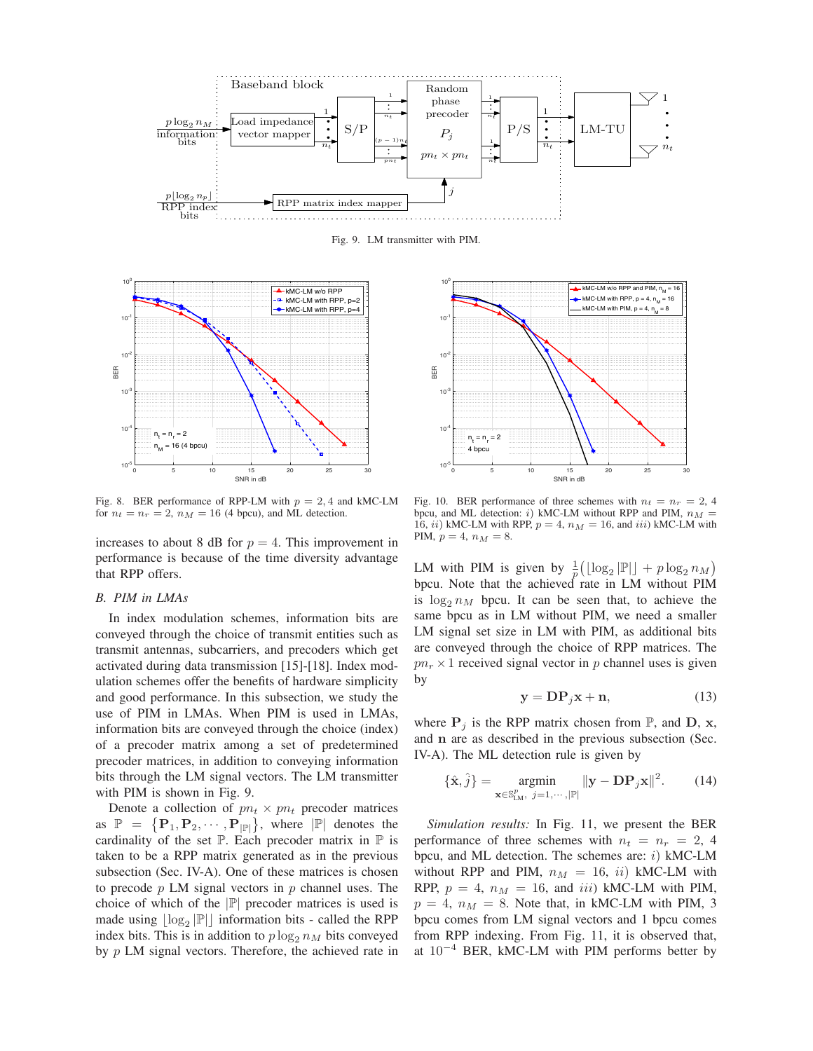

Fig. 9. LM transmitter with PIM.



Fig. 8. BER performance of RPP-LM with  $p = 2, 4$  and kMC-LM for  $n_t = n_r = 2$ ,  $n_M = 16$  (4 bpcu), and ML detection.

increases to about 8 dB for  $p = 4$ . This improvement in performance is because of the time diversity advantage that RPP offers.

## *B. PIM in LMAs*

In index modulation schemes, information bits are conveyed through the choice of transmit entities such as transmit antennas, subcarriers, and precoders which get activated during data transmission [15]-[18]. Index modulation schemes offer the benefits of hardware simplicity and good performance. In this subsection, we study the use of PIM in LMAs. When PIM is used in LMAs, information bits are conveyed through the choice (index) of a precoder matrix among a set of predetermined precoder matrices, in addition to conveying information bits through the LM signal vectors. The LM transmitter with PIM is shown in Fig. 9.

Denote a collection of  $pn_t \times pn_t$  precoder matrices as  $\mathbb{P} = {\{P_1, P_2, \cdots, P_{|\mathbb{P}|}\}},$  where  $|\mathbb{P}|$  denotes the cardinality of the set  $\mathbb P$ . Each precoder matrix in  $\mathbb P$  is taken to be a RPP matrix generated as in the previous subsection (Sec. IV-A). One of these matrices is chosen to precode  $p$  LM signal vectors in  $p$  channel uses. The choice of which of the ∣ℙ∣ precoder matrices is used is made using  $\lfloor \log_2 |\mathbb{P}| \rfloor$  information bits - called the RPP index bits. This is in addition to  $p \log_2 n_M$  bits conveyed by  $p$  LM signal vectors. Therefore, the achieved rate in



Fig. 10. BER performance of three schemes with  $n_t = n_r = 2, 4$ bpcu, and ML detection: i) kMC-LM without RPP and PIM,  $n_M$  = 16, *ii*) kMC-LM with RPP,  $p = 4$ ,  $n_M = 16$ , and *iii*) kMC-LM with PIM,  $p = 4$ ,  $n_M = 8$ .

LM with PIM is given by  $\frac{1}{p} (\lfloor \log_2 |\mathbb{P}| \rfloor + p \log_2 n_M)$ bpcu. Note that the achieved rate in LM without PIM is  $\log_2 n_M$  bpcu. It can be seen that, to achieve the same bpcu as in LM without PIM, we need a smaller LM signal set size in LM with PIM, as additional bits are conveyed through the choice of RPP matrices. The  $pn_r \times 1$  received signal vector in p channel uses is given by

$$
y = DP_j x + n,\t(13)
$$

where  $P_i$  is the RPP matrix chosen from  $\mathbb{P}$ , and  $D$ , **x**, and **n** are as described in the previous subsection (Sec. IV-A). The ML detection rule is given by

$$
\{\hat{\mathbf{x}}, \hat{j}\} = \underset{\mathbf{x} \in \mathbb{S}^p_{LM}, \ j=1,\cdots,|\mathbb{P}|}{\text{argmin}} ||\mathbf{y} - \mathbf{D} \mathbf{P}_j \mathbf{x}||^2. \tag{14}
$$

*Simulation results:* In Fig. 11, we present the BER performance of three schemes with  $n_t = n_r = 2, 4$ bpcu, and ML detection. The schemes are:  $i)$  kMC-LM without RPP and PIM,  $n_M = 16$ , ii) kMC-LM with RPP,  $p = 4$ ,  $n_M = 16$ , and *iii*) kMC-LM with PIM,  $p = 4$ ,  $n_M = 8$ . Note that, in kMC-LM with PIM, 3 bpcu comes from LM signal vectors and 1 bpcu comes from RPP indexing. From Fig. 11, it is observed that, at  $10^{-4}$  BER, kMC-LM with PIM performs better by